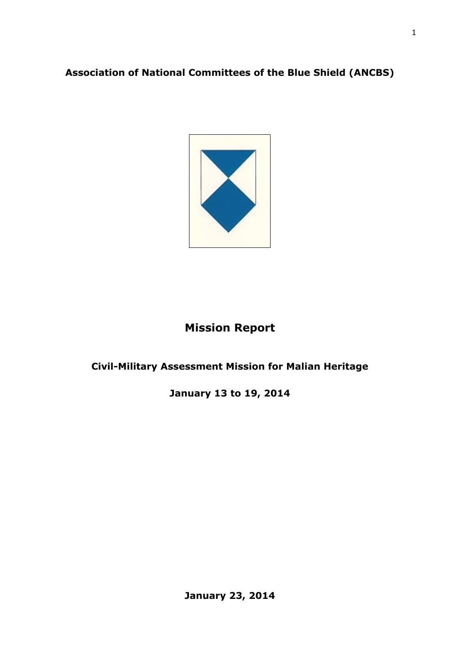# **Association of National Committees of the Blue Shield (ANCBS)**



# **Mission Report**

## **Civil-Military Assessment Mission for Malian Heritage**

**January 13 to 19, 2014**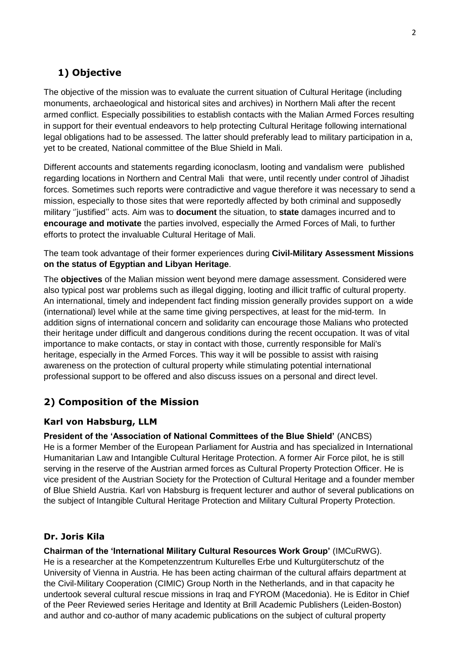# **1) Objective**

The objective of the mission was to evaluate the current situation of Cultural Heritage (including monuments, archaeological and historical sites and archives) in Northern Mali after the recent armed conflict. Especially possibilities to establish contacts with the Malian Armed Forces resulting in support for their eventual endeavors to help protecting Cultural Heritage following international legal obligations had to be assessed. The latter should preferably lead to military participation in a, yet to be created, National committee of the Blue Shield in Mali.

Different accounts and statements regarding iconoclasm, looting and vandalism were published regarding locations in Northern and Central Mali that were, until recently under control of Jihadist forces. Sometimes such reports were contradictive and vague therefore it was necessary to send a mission, especially to those sites that were reportedly affected by both criminal and supposedly military ''justified'' acts. Aim was to **document** the situation, to **state** damages incurred and to **encourage and motivate** the parties involved, especially the Armed Forces of Mali, to further efforts to protect the invaluable Cultural Heritage of Mali.

The team took advantage of their former experiences during **Civil-Military Assessment Missions on the status of Egyptian and Libyan Heritage**.

The **objectives** of the Malian mission went beyond mere damage assessment. Considered were also typical post war problems such as illegal digging, looting and illicit traffic of cultural property. An international, timely and independent fact finding mission generally provides support on a wide (international) level while at the same time giving perspectives, at least for the mid-term. In addition signs of international concern and solidarity can encourage those Malians who protected their heritage under difficult and dangerous conditions during the recent occupation. It was of vital importance to make contacts, or stay in contact with those, currently responsible for Mali's heritage, especially in the Armed Forces. This way it will be possible to assist with raising awareness on the protection of cultural property while stimulating potential international professional support to be offered and also discuss issues on a personal and direct level.

### **2) Composition of the Mission**

#### **Karl von Habsburg, LLM**

**President of the 'Association of National Committees of the Blue Shield'** (ANCBS) He is a former Member of the European Parliament for Austria and has specialized in International Humanitarian Law and Intangible Cultural Heritage Protection. A former Air Force pilot, he is still serving in the reserve of the Austrian armed forces as Cultural Property Protection Officer. He is vice president of the Austrian Society for the Protection of Cultural Heritage and a founder member of Blue Shield Austria. Karl von Habsburg is frequent lecturer and author of several publications on the subject of Intangible Cultural Heritage Protection and Military Cultural Property Protection.

### **Dr. Joris Kila**

**Chairman of the 'International Military Cultural Resources Work Group'** (IMCuRWG). He is a researcher at the Kompetenzzentrum Kulturelles Erbe und Kulturgüterschutz of the University of Vienna in Austria. He has been acting chairman of the cultural affairs department at the Civil-Military Cooperation (CIMIC) Group North in the Netherlands, and in that capacity he undertook several cultural rescue missions in Iraq and FYROM (Macedonia). He is Editor in Chief of the Peer Reviewed series Heritage and Identity at Brill Academic Publishers (Leiden-Boston) and author and co-author of many academic publications on the subject of cultural property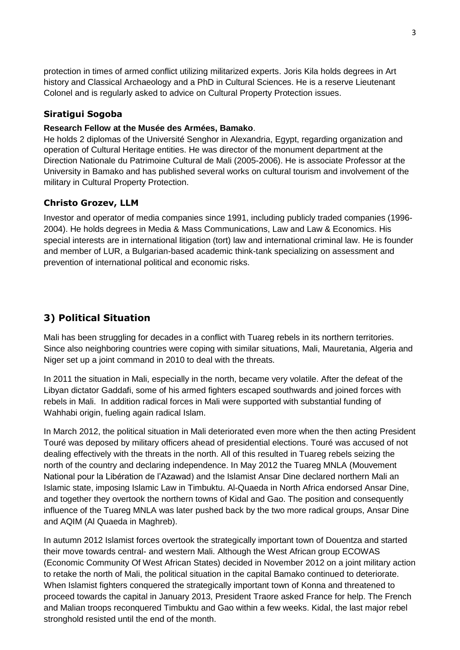protection in times of armed conflict utilizing militarized experts. Joris Kila holds degrees in Art history and Classical Archaeology and a PhD in Cultural Sciences. He is a reserve Lieutenant Colonel and is regularly asked to advice on Cultural Property Protection issues.

#### **Siratigui Sogoba**

#### **Research Fellow at the Musée des Armées, Bamako**.

He holds 2 diplomas of the Université Senghor in Alexandria, Egypt, regarding organization and operation of Cultural Heritage entities. He was director of the monument department at the Direction Nationale du Patrimoine Cultural de Mali (2005-2006). He is associate Professor at the University in Bamako and has published several works on cultural tourism and involvement of the military in Cultural Property Protection.

#### **Christo Grozev, LLM**

Investor and operator of media companies since 1991, including publicly traded companies (1996- 2004). He holds degrees in Media & Mass Communications, Law and Law & Economics. His special interests are in international litigation (tort) law and international criminal law. He is founder and member of LUR, a Bulgarian-based academic think-tank specializing on assessment and prevention of international political and economic risks.

### **3) Political Situation**

Mali has been struggling for decades in a conflict with Tuareg rebels in its northern territories. Since also neighboring countries were coping with similar situations, Mali, Mauretania, Algeria and Niger set up a joint command in 2010 to deal with the threats.

In 2011 the situation in Mali, especially in the north, became very volatile. After the defeat of the Libyan dictator Gaddafi, some of his armed fighters escaped southwards and joined forces with rebels in Mali. In addition radical forces in Mali were supported with substantial funding of Wahhabi origin, fueling again radical Islam.

In March 2012, the political situation in Mali deteriorated even more when the then acting President Touré was deposed by military officers ahead of presidential elections. Touré was accused of not dealing effectively with the threats in the north. All of this resulted in Tuareg rebels seizing the north of the country and declaring independence. In May 2012 the Tuareg MNLA (Mouvement National pour la Libération de l'Azawad) and the Islamist Ansar Dine declared northern Mali an Islamic state, imposing Islamic Law in Timbuktu. Al-Quaeda in North Africa endorsed Ansar Dine, and together they overtook the northern towns of Kidal and Gao. The position and consequently influence of the Tuareg MNLA was later pushed back by the two more radical groups, Ansar Dine and AQIM (Al Quaeda in Maghreb).

In autumn 2012 Islamist forces overtook the strategically important town of Douentza and started their move towards central- and western Mali. Although the West African group ECOWAS (Economic Community Of West African States) decided in November 2012 on a joint military action to retake the north of Mali, the political situation in the capital Bamako continued to deteriorate. When Islamist fighters conquered the strategically important town of Konna and threatened to proceed towards the capital in January 2013, President Traore asked France for help. The French and Malian troops reconquered Timbuktu and Gao within a few weeks. Kidal, the last major rebel stronghold resisted until the end of the month.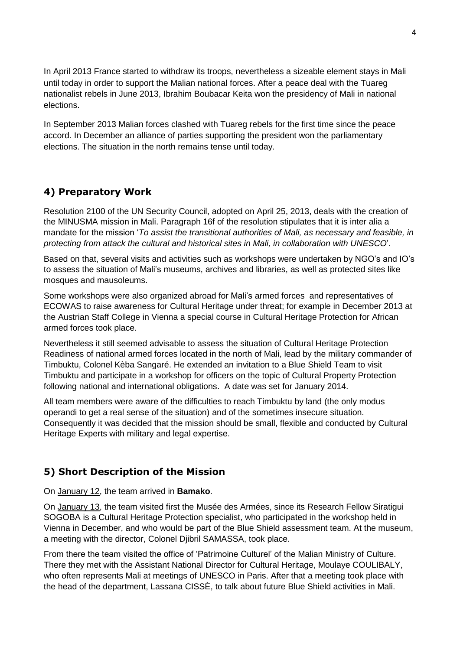In April 2013 France started to withdraw its troops, nevertheless a sizeable element stays in Mali until today in order to support the Malian national forces. After a peace deal with the Tuareg nationalist rebels in June 2013, Ibrahim Boubacar Keita won the presidency of Mali in national elections.

In September 2013 Malian forces clashed with Tuareg rebels for the first time since the peace accord. In December an alliance of parties supporting the president won the parliamentary elections. The situation in the north remains tense until today.

### **4) Preparatory Work**

Resolution 2100 of the UN Security Council, adopted on April 25, 2013, deals with the creation of the MINUSMA mission in Mali. Paragraph 16f of the resolution stipulates that it is inter alia a mandate for the mission '*To assist the transitional authorities of Mali, as necessary and feasible, in protecting from attack the cultural and historical sites in Mali, in collaboration with UNESCO*'.

Based on that, several visits and activities such as workshops were undertaken by NGO's and IO's to assess the situation of Mali's museums, archives and libraries, as well as protected sites like mosques and mausoleums.

Some workshops were also organized abroad for Mali's armed forces and representatives of ECOWAS to raise awareness for Cultural Heritage under threat; for example in December 2013 at the Austrian Staff College in Vienna a special course in Cultural Heritage Protection for African armed forces took place.

Nevertheless it still seemed advisable to assess the situation of Cultural Heritage Protection Readiness of national armed forces located in the north of Mali, lead by the military commander of Timbuktu, Colonel Kèba Sangaré. He extended an invitation to a Blue Shield Team to visit Timbuktu and participate in a workshop for officers on the topic of Cultural Property Protection following national and international obligations. A date was set for January 2014.

All team members were aware of the difficulties to reach Timbuktu by land (the only modus operandi to get a real sense of the situation) and of the sometimes insecure situation. Consequently it was decided that the mission should be small, flexible and conducted by Cultural Heritage Experts with military and legal expertise.

# **5) Short Description of the Mission**

On January 12, the team arrived in **Bamako**.

On January 13, the team visited first the Musée des Armées, since its Research Fellow Siratigui SOGOBA is a Cultural Heritage Protection specialist, who participated in the workshop held in Vienna in December, and who would be part of the Blue Shield assessment team. At the museum, a meeting with the director, Colonel Djibril SAMASSA, took place.

From there the team visited the office of 'Patrimoine Culturel' of the Malian Ministry of Culture. There they met with the Assistant National Director for Cultural Heritage, Moulaye COULIBALY, who often represents Mali at meetings of UNESCO in Paris. After that a meeting took place with the head of the department, Lassana CISSÈ, to talk about future Blue Shield activities in Mali.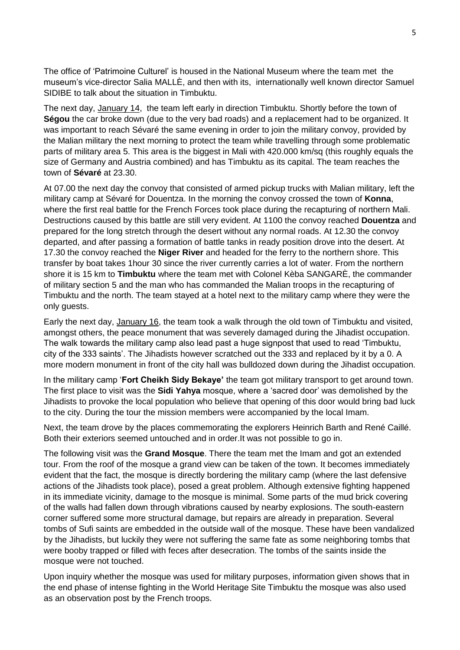The office of 'Patrimoine Culturel' is housed in the National Museum where the team met the museum's vice-director Salia MALLÈ, and then with its, internationally well known director Samuel SIDIBE to talk about the situation in Timbuktu.

The next day, January 14, the team left early in direction Timbuktu. Shortly before the town of **Ségou** the car broke down (due to the very bad roads) and a replacement had to be organized. It was important to reach Sévaré the same evening in order to join the military convoy, provided by the Malian military the next morning to protect the team while travelling through some problematic parts of military area 5. This area is the biggest in Mali with 420.000 km/sq (this roughly equals the size of Germany and Austria combined) and has Timbuktu as its capital. The team reaches the town of **Sévaré** at 23.30.

At 07.00 the next day the convoy that consisted of armed pickup trucks with Malian military, left the military camp at Sévaré for Douentza. In the morning the convoy crossed the town of **Konna**, where the first real battle for the French Forces took place during the recapturing of northern Mali. Destructions caused by this battle are still very evident. At 1100 the convoy reached **Douentza** and prepared for the long stretch through the desert without any normal roads. At 12.30 the convoy departed, and after passing a formation of battle tanks in ready position drove into the desert. At 17.30 the convoy reached the **Niger River** and headed for the ferry to the northern shore. This transfer by boat takes 1hour 30 since the river currently carries a lot of water. From the northern shore it is 15 km to **Timbuktu** where the team met with Colonel Kèba SANGARÈ, the commander of military section 5 and the man who has commanded the Malian troops in the recapturing of Timbuktu and the north. The team stayed at a hotel next to the military camp where they were the only guests.

Early the next day, January 16, the team took a walk through the old town of Timbuktu and visited, amongst others, the peace monument that was severely damaged during the Jihadist occupation. The walk towards the military camp also lead past a huge signpost that used to read 'Timbuktu, city of the 333 saints'. The Jihadists however scratched out the 333 and replaced by it by a 0. A more modern monument in front of the city hall was bulldozed down during the Jihadist occupation.

In the military camp '**Fort Cheikh Sidy Bekaye'** the team got military transport to get around town. The first place to visit was the **Sidi Yahya** mosque, where a 'sacred door' was demolished by the Jihadists to provoke the local population who believe that opening of this door would bring bad luck to the city. During the tour the mission members were accompanied by the local Imam.

Next, the team drove by the places commemorating the explorers Heinrich Barth and René Caillé. Both their exteriors seemed untouched and in order.It was not possible to go in.

The following visit was the **Grand Mosque**. There the team met the Imam and got an extended tour. From the roof of the mosque a grand view can be taken of the town. It becomes immediately evident that the fact, the mosque is directly bordering the military camp (where the last defensive actions of the Jihadists took place), posed a great problem. Although extensive fighting happened in its immediate vicinity, damage to the mosque is minimal. Some parts of the mud brick covering of the walls had fallen down through vibrations caused by nearby explosions. The south-eastern corner suffered some more structural damage, but repairs are already in preparation. Several tombs of Sufi saints are embedded in the outside wall of the mosque. These have been vandalized by the Jihadists, but luckily they were not suffering the same fate as some neighboring tombs that were booby trapped or filled with feces after desecration. The tombs of the saints inside the mosque were not touched.

Upon inquiry whether the mosque was used for military purposes, information given shows that in the end phase of intense fighting in the World Heritage Site Timbuktu the mosque was also used as an observation post by the French troops.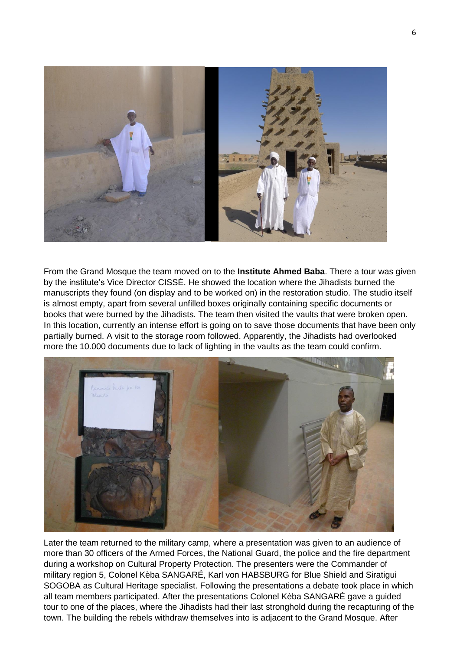

From the Grand Mosque the team moved on to the **Institute Ahmed Baba**. There a tour was given by the institute's Vice Director CISSÈ. He showed the location where the Jihadists burned the manuscripts they found (on display and to be worked on) in the restoration studio. The studio itself is almost empty, apart from several unfilled boxes originally containing specific documents or books that were burned by the Jihadists. The team then visited the vaults that were broken open. In this location, currently an intense effort is going on to save those documents that have been only partially burned. A visit to the storage room followed. Apparently, the Jihadists had overlooked more the 10.000 documents due to lack of lighting in the vaults as the team could confirm.



Later the team returned to the military camp, where a presentation was given to an audience of more than 30 officers of the Armed Forces, the National Guard, the police and the fire department during a workshop on Cultural Property Protection. The presenters were the Commander of military region 5, Colonel Kèba SANGARÉ, Karl von HABSBURG for Blue Shield and Siratigui SOGOBA as Cultural Heritage specialist. Following the presentations a debate took place in which all team members participated. After the presentations Colonel Kèba SANGARÉ gave a guided tour to one of the places, where the Jihadists had their last stronghold during the recapturing of the town. The building the rebels withdraw themselves into is adjacent to the Grand Mosque. After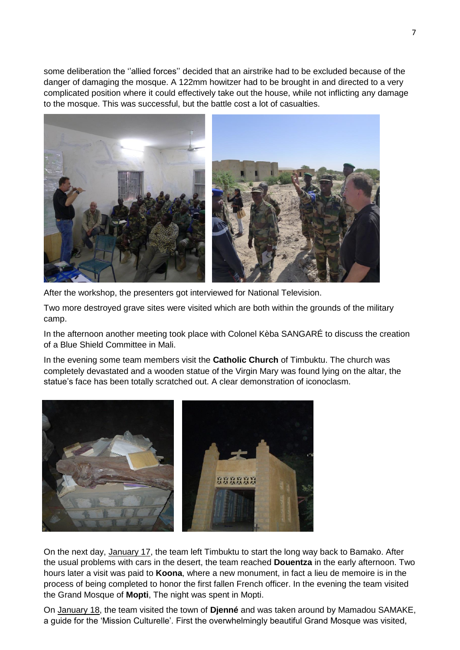some deliberation the ''allied forces'' decided that an airstrike had to be excluded because of the danger of damaging the mosque. A 122mm howitzer had to be brought in and directed to a very complicated position where it could effectively take out the house, while not inflicting any damage to the mosque. This was successful, but the battle cost a lot of casualties.



After the workshop, the presenters got interviewed for National Television.

Two more destroyed grave sites were visited which are both within the grounds of the military camp.

In the afternoon another meeting took place with Colonel Kèba SANGARÉ to discuss the creation of a Blue Shield Committee in Mali.

In the evening some team members visit the **Catholic Church** of Timbuktu. The church was completely devastated and a wooden statue of the Virgin Mary was found lying on the altar, the statue's face has been totally scratched out. A clear demonstration of iconoclasm.



On the next day, January 17, the team left Timbuktu to start the long way back to Bamako. After the usual problems with cars in the desert, the team reached **Douentza** in the early afternoon. Two hours later a visit was paid to **Koona**, where a new monument, in fact a lieu de memoire is in the process of being completed to honor the first fallen French officer. In the evening the team visited the Grand Mosque of **Mopti**, The night was spent in Mopti.

On January 18, the team visited the town of **Djenné** and was taken around by Mamadou SAMAKE, a guide for the 'Mission Culturelle'. First the overwhelmingly beautiful Grand Mosque was visited,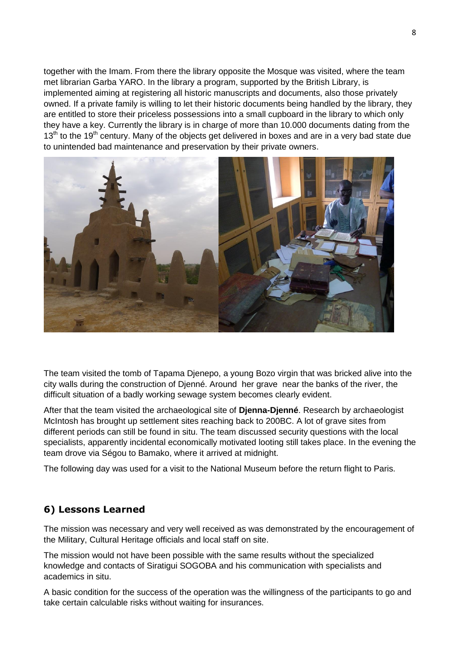together with the Imam. From there the library opposite the Mosque was visited, where the team met librarian Garba YARO. In the library a program, supported by the British Library, is implemented aiming at registering all historic manuscripts and documents, also those privately owned. If a private family is willing to let their historic documents being handled by the library, they are entitled to store their priceless possessions into a small cupboard in the library to which only they have a key. Currently the library is in charge of more than 10.000 documents dating from the  $13<sup>th</sup>$  to the 19<sup>th</sup> century. Many of the objects get delivered in boxes and are in a very bad state due to unintended bad maintenance and preservation by their private owners.



The team visited the tomb of Tapama Djenepo, a young Bozo virgin that was bricked alive into the city walls during the construction of Djenné. Around her grave near the banks of the river, the difficult situation of a badly working sewage system becomes clearly evident.

After that the team visited the archaeological site of **Djenna-Djenné**. Research by archaeologist McIntosh has brought up settlement sites reaching back to 200BC. A lot of grave sites from different periods can still be found in situ. The team discussed security questions with the local specialists, apparently incidental economically motivated looting still takes place. In the evening the team drove via Ségou to Bamako, where it arrived at midnight.

The following day was used for a visit to the National Museum before the return flight to Paris.

### **6) Lessons Learned**

The mission was necessary and very well received as was demonstrated by the encouragement of the Military, Cultural Heritage officials and local staff on site.

The mission would not have been possible with the same results without the specialized knowledge and contacts of Siratigui SOGOBA and his communication with specialists and academics in situ.

A basic condition for the success of the operation was the willingness of the participants to go and take certain calculable risks without waiting for insurances.